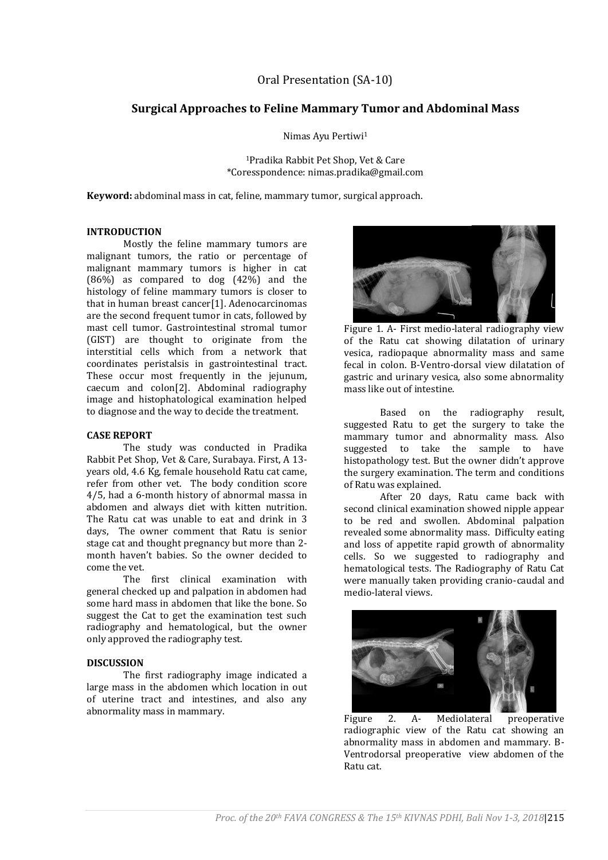## Oral Presentation (SA-10)

# **Surgical Approaches to Feline Mammary Tumor and Abdominal Mass**

Nimas Ayu Pertiwi<sup>1</sup>

<sup>1</sup>Pradika Rabbit Pet Shop, Vet & Care \*Coresspondence: nimas.pradika@gmail.com

**Keyword:** abdominal mass in cat, feline, mammary tumor, surgical approach.

## **INTRODUCTION**

Mostly the feline mammary tumors are malignant tumors, the ratio or percentage of malignant mammary tumors is higher in cat  $(86\%)$  as compared to dog  $(42\%)$  and the histology of feline mammary tumors is closer to that in human breast cancer[1]. Adenocarcinomas are the second frequent tumor in cats, followed by mast cell tumor. Gastrointestinal stromal tumor (GIST) are thought to originate from the interstitial cells which from a network that coordinates peristalsis in gastrointestinal tract. These occur most frequently in the jejunum, caecum and colon[2]. Abdominal radiography image and histophatological examination helped to diagnose and the way to decide the treatment.

#### **CASE REPORT**

The study was conducted in Pradika Rabbit Pet Shop, Vet & Care, Surabaya. First, A 13 years old, 4.6 Kg, female household Ratu cat came, refer from other vet. The body condition score 4/5, had a 6-month history of abnormal massa in abdomen and always diet with kitten nutrition. The Ratu cat was unable to eat and drink in 3 days, The owner comment that Ratu is senior stage cat and thought pregnancy but more than 2 month haven't babies. So the owner decided to come the vet.

The first clinical examination with general checked up and palpation in abdomen had some hard mass in abdomen that like the bone. So suggest the Cat to get the examination test such radiography and hematological, but the owner only approved the radiography test.

### **DISCUSSION**

The first radiography image indicated a large mass in the abdomen which location in out of uterine tract and intestines, and also any abnormality mass in mammary.



Figure 1. A- First medio-lateral radiography view of the Ratu cat showing dilatation of urinary vesica, radiopaque abnormality mass and same fecal in colon. B-Ventro-dorsal view dilatation of gastric and urinary vesica, also some abnormality mass like out of intestine.

Based on the radiography result, suggested Ratu to get the surgery to take the mammary tumor and abnormality mass. Also suggested to take the sample to have histopathology test. But the owner didn't approve the surgery examination. The term and conditions of Ratu was explained.

After 20 days, Ratu came back with second clinical examination showed nipple appear to be red and swollen. Abdominal palpation revealed some abnormality mass. Difficulty eating and loss of appetite rapid growth of abnormality cells. So we suggested to radiography and hematological tests. The Radiography of Ratu Cat were manually taken providing cranio-caudal and medio-lateral views.



Figure 2. A- Mediolateral preoperative radiographic view of the Ratu cat showing an abnormality mass in abdomen and mammary. B-Ventrodorsal preoperative view abdomen of the Ratu cat.